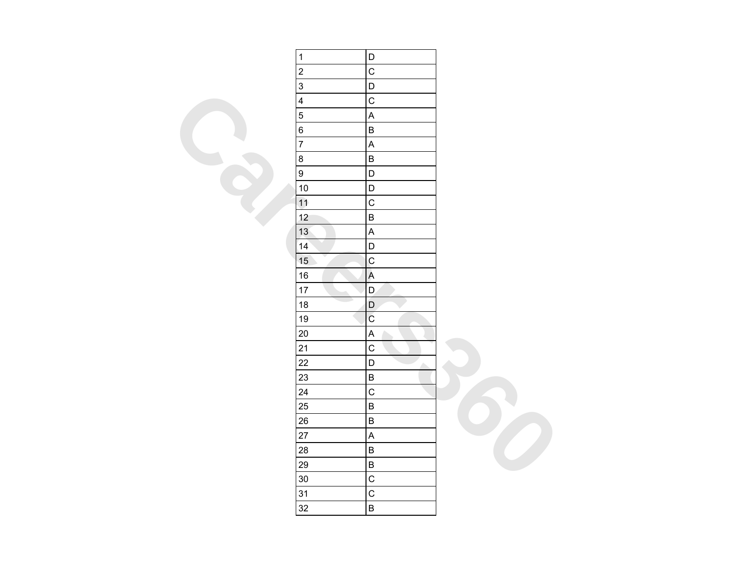| $\mathbf{1}$            | D                         |  |
|-------------------------|---------------------------|--|
| $\overline{\mathbf{c}}$ | $\mathbf C$               |  |
| $\overline{3}$          | D                         |  |
| $\overline{\mathbf{4}}$ | $\mathsf{C}$              |  |
| $\overline{5}$          | $\boldsymbol{\mathsf{A}}$ |  |
| $\overline{6}$          | $\sf B$                   |  |
| $\overline{7}$          | $\overline{\mathsf{A}}$   |  |
| $\bf 8$                 | $\sf B$                   |  |
| $\overline{9}$          | $\mathsf D$               |  |
| $10$                    | $\mathsf D$               |  |
| 11                      | $\mathbf C$               |  |
| 12                      | $\sf B$                   |  |
| 13                      | $\boldsymbol{\mathsf{A}}$ |  |
| 14                      | $\mathsf D$               |  |
| 15                      | $\mathbf C$               |  |
| $16\,$                  | $\overline{A}$            |  |
| 17                      | D                         |  |
| 18                      | $\mathsf D$               |  |
| $19$                    | $\mathsf C$               |  |
| 20                      | $\boldsymbol{\mathsf{A}}$ |  |
| 21                      | $\overline{C}$            |  |
| 22                      | $\mathsf D$<br>A.         |  |
| 23                      | $\sf B$                   |  |
| 24                      | $\overline{C}$            |  |
| 25                      | $\sf B$                   |  |
| 26                      | $\sf B$                   |  |
| 27                      | $\overline{\mathsf{A}}$   |  |
| 28                      | $\sf B$                   |  |
| 29                      | $\sf B$                   |  |
| 30                      | $\overline{C}$            |  |
| 31                      | $\mathsf{C}$              |  |
| 32                      | $\sf B$                   |  |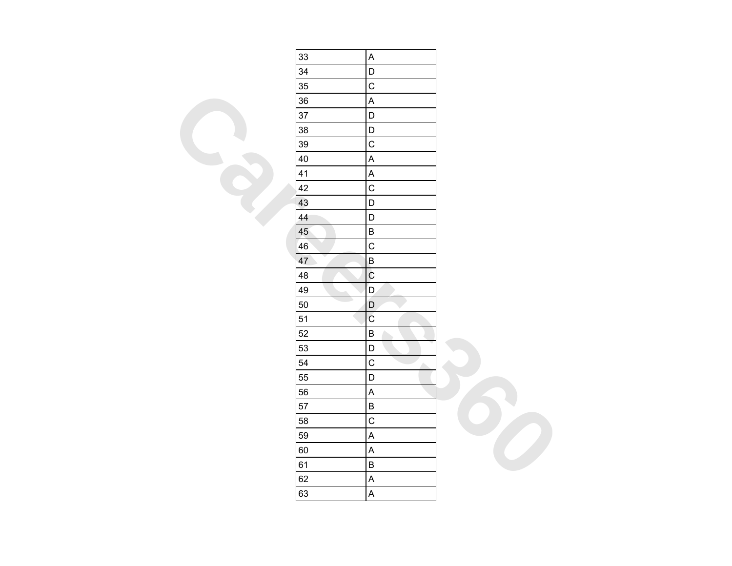| 33                             | $\sf A$                   |  |
|--------------------------------|---------------------------|--|
| 34                             | $\overline{\mathsf{D}}$   |  |
| 35                             | $\mathsf{C}$              |  |
| 36                             | $\overline{\mathsf{A}}$   |  |
| 37                             | $\mathsf D$               |  |
| 38                             | $\mathsf D$               |  |
| 39                             | $\overline{C}$            |  |
| 40                             | $\overline{\mathsf{A}}$   |  |
| 41                             | $\mathsf{A}$              |  |
| 42                             | $\overline{C}$            |  |
| 43                             | $\mathsf D$               |  |
| 44                             | D                         |  |
| 45                             | $\sf B$                   |  |
| 46                             | $\mathsf{C}$              |  |
| $\overline{\phantom{a}}$<br>47 | $\sf B$                   |  |
| 48                             | $\overline{C}$            |  |
| 49                             | D.                        |  |
| 50                             | $\mathsf D$               |  |
| 51                             | $\rm \bar{C}$             |  |
| 52                             | $\sf B$                   |  |
| 53                             | $\mathsf D$               |  |
| 54                             | $\overline{C}$<br>Δ       |  |
| 55                             | $\mathsf D$               |  |
| 56                             | $\boldsymbol{\mathsf{A}}$ |  |
| 57                             | $\overline{B}$            |  |
| 58                             | $\mathsf{C}$              |  |
| 59                             | $\overline{\mathsf{A}}$   |  |
| 60                             | $\boldsymbol{\mathsf{A}}$ |  |
| 61                             | $\sf B$                   |  |
| 62                             | $\overline{\mathsf{A}}$   |  |
| 63                             | $\overline{\mathsf{A}}$   |  |
|                                |                           |  |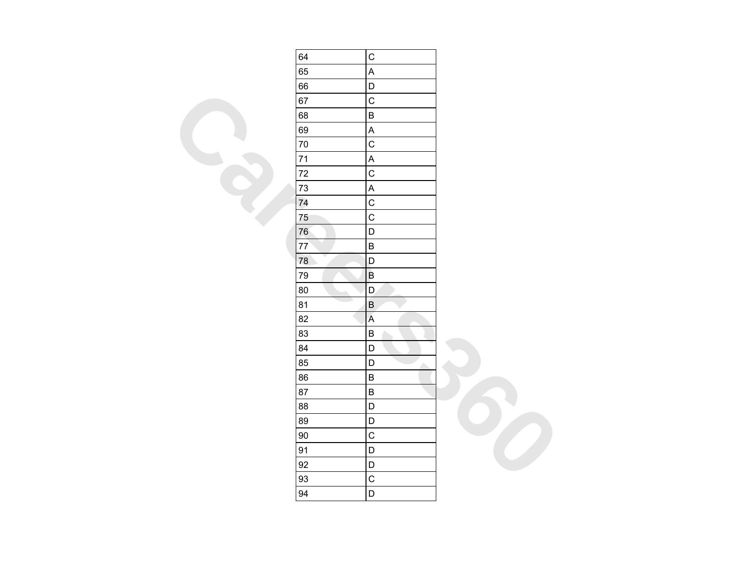| 64 | $\mathsf C$               |  |
|----|---------------------------|--|
| 65 | A                         |  |
| 66 | $\mathsf D$               |  |
| 67 | $\mathsf C$               |  |
| 68 | $\sf B$                   |  |
| 69 | $\mathsf A$               |  |
| 70 | $\overline{C}$            |  |
| 71 | $\boldsymbol{\mathsf{A}}$ |  |
| 72 | $\mathsf{C}$              |  |
| 73 | $\mathsf A$               |  |
| 74 | $\mathsf C$               |  |
| 75 | $\overline{C}$            |  |
| 76 | $\mathsf{D}$              |  |
| 77 | $\sf B$                   |  |
| 78 | D                         |  |
| 79 | $\sf B$                   |  |
| 80 | $\mathsf D$               |  |
| 81 | $\sf B$                   |  |
| 82 | $\mathsf A$               |  |
| 83 | $\sf B$                   |  |
| 84 | D                         |  |
| 85 | $\mathsf D$<br>A.         |  |
| 86 | $\sf B$                   |  |
| 87 | $\sf B$                   |  |
| 88 | $\mathsf D$               |  |
| 89 | $\mathsf D$               |  |
| 90 | $\mathsf C$               |  |
| 91 | $\mathsf D$               |  |
| 92 | D                         |  |
| 93 | $\mathsf C$               |  |
| 94 | $\mathsf D$               |  |
|    |                           |  |